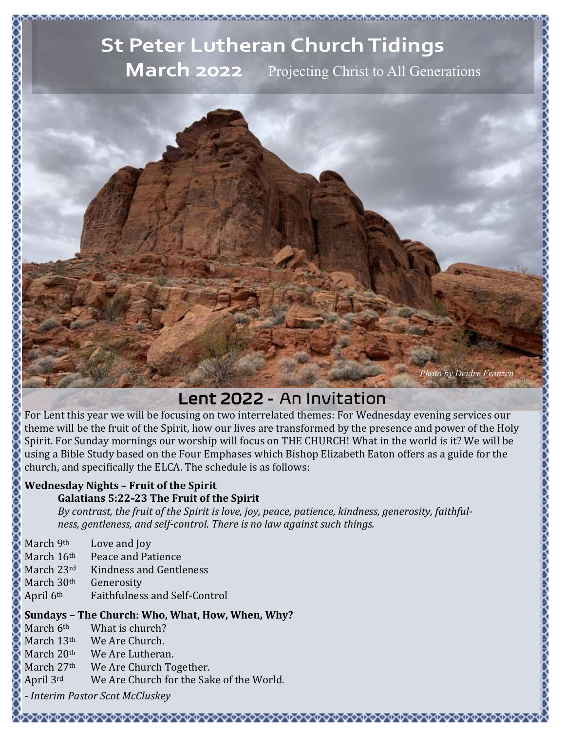# **St Peter Lutheran Church Tidings March 2022** Projecting Christ to All Generations



### Lent 2022 - An Invitation

For Lent this year we will be focusing on two interrelated themes: For Wednesday evening services our theme will be the fruit of the Spirit, how our lives are transformed by the presence and power of the Holy Spirit. For Sunday mornings our worship will focus on THE CHURCH! What in the world is it? We will be using a Bible Study based on the Four Emphases which Bishop Elizabeth Eaton offers as a guide for the church, and specifically the ELCA. The schedule is as follows:

### **Wednesday Nights – Fruit of the Spirit**

### **Galatians 5:22-23 The Fruit of the Spirit**

*By contrast, the fruit of the Spirit is love, joy, peace, patience, kindness, generosity, faithfulness, gentleness, and self-control. There is no law against such things.*

| March 9th  | Love and Joy                         |
|------------|--------------------------------------|
| March 16th | Peace and Patience                   |
| March 23rd | Kindness and Gentleness              |
| March 30th | Generosity                           |
| April 6th  | <b>Faithfulness and Self-Control</b> |

### **Sundays – The Church: Who, What, How, When, Why?**

March 6<sup>th</sup> What is church? March 13<sup>th</sup> We Are Church. March 20<sup>th</sup> We Are Lutheran. March 27<sup>th</sup> We Are Church Together. April 3rd We Are Church for the Sake of the World.

*- Interim Pastor Scot McCluskey*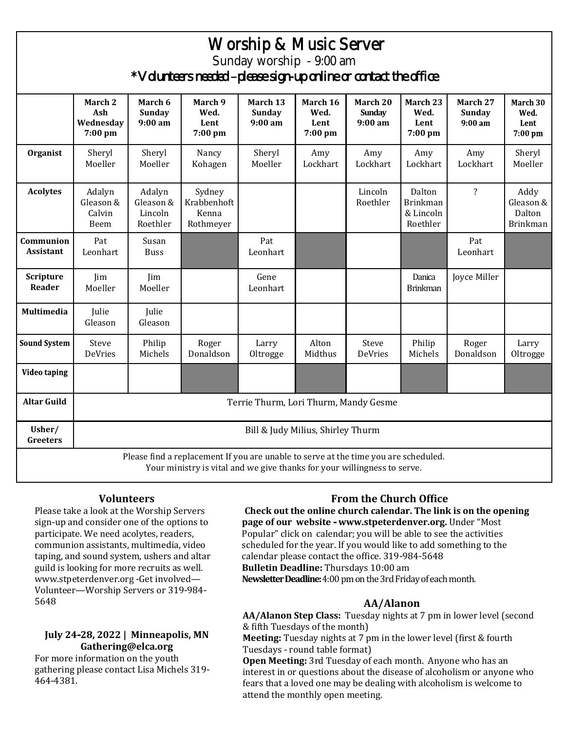| Worship & Music Server                                                                                                                                          |                                        |                                            |                                             |                                        |                                     |                                      |                                                    |                                      |                                                |  |
|-----------------------------------------------------------------------------------------------------------------------------------------------------------------|----------------------------------------|--------------------------------------------|---------------------------------------------|----------------------------------------|-------------------------------------|--------------------------------------|----------------------------------------------------|--------------------------------------|------------------------------------------------|--|
| Sunday worship - 9:00 am                                                                                                                                        |                                        |                                            |                                             |                                        |                                     |                                      |                                                    |                                      |                                                |  |
| * Volunteers needed -please sign-up online or contact the office                                                                                                |                                        |                                            |                                             |                                        |                                     |                                      |                                                    |                                      |                                                |  |
|                                                                                                                                                                 | March 2<br>Ash<br>Wednesday<br>7:00 pm | March 6<br><b>Sunday</b><br>$9:00$ am      | March 9<br>Wed.<br>Lent<br>7:00 pm          | March 13<br><b>Sunday</b><br>$9:00$ am | March 16<br>Wed.<br>Lent<br>7:00 pm | March 20<br><b>Sunday</b><br>9:00 am | March 23<br>Wed.<br>Lent<br>7:00 pm                | March 27<br><b>Sunday</b><br>9:00 am | March 30<br>Wed.<br>Lent<br>7:00 pm            |  |
| Organist                                                                                                                                                        | Sheryl<br>Moeller                      | Sheryl<br>Moeller                          | Nancy<br>Kohagen                            | Sheryl<br>Moeller                      | Amy<br>Lockhart                     | Amy<br>Lockhart                      | Amy<br>Lockhart                                    | Amy<br>Lockhart                      | Sheryl<br>Moeller                              |  |
| <b>Acolytes</b>                                                                                                                                                 | Adalyn<br>Gleason &<br>Calvin<br>Beem  | Adalyn<br>Gleason &<br>Lincoln<br>Roethler | Sydney<br>Krabbenhoft<br>Kenna<br>Rothmeyer |                                        |                                     | Lincoln<br>Roethler                  | Dalton<br><b>Brinkman</b><br>& Lincoln<br>Roethler | $\overline{\mathbf{?}}$              | Addy<br>Gleason &<br>Dalton<br><b>Brinkman</b> |  |
| Communion<br><b>Assistant</b>                                                                                                                                   | Pat<br>Leonhart                        | Susan<br><b>Buss</b>                       |                                             | Pat<br>Leonhart                        |                                     |                                      |                                                    | Pat<br>Leonhart                      |                                                |  |
| Scripture<br>Reader                                                                                                                                             | Jim<br>Moeller                         | Jim<br>Moeller                             |                                             | Gene<br>Leonhart                       |                                     |                                      | Danica<br><b>Brinkman</b>                          | Joyce Miller                         |                                                |  |
| <b>Multimedia</b>                                                                                                                                               | Julie<br>Gleason                       | Julie<br>Gleason                           |                                             |                                        |                                     |                                      |                                                    |                                      |                                                |  |
| <b>Sound System</b>                                                                                                                                             | Steve<br>DeVries                       | Philip<br>Michels                          | Roger<br>Donaldson                          | Larry<br>Oltrogge                      | Alton<br>Midthus                    | Steve<br>DeVries                     | Philip<br>Michels                                  | Roger<br>Donaldson                   | Larry<br>Oltrogge                              |  |
| Video taping                                                                                                                                                    |                                        |                                            |                                             |                                        |                                     |                                      |                                                    |                                      |                                                |  |
| <b>Altar Guild</b>                                                                                                                                              | Terrie Thurm, Lori Thurm, Mandy Gesme  |                                            |                                             |                                        |                                     |                                      |                                                    |                                      |                                                |  |
| Usher/<br>Greeters                                                                                                                                              | Bill & Judy Milius, Shirley Thurm      |                                            |                                             |                                        |                                     |                                      |                                                    |                                      |                                                |  |
| Please find a replacement If you are unable to serve at the time you are scheduled.<br>Your ministry is vital and we give thanks for your willingness to serve. |                                        |                                            |                                             |                                        |                                     |                                      |                                                    |                                      |                                                |  |

### **Volunteers**

Please take a look at the Worship Servers sign-up and consider one of the options to participate. We need acolytes, readers, communion assistants, multimedia, video taping, and sound system, ushers and altar guild is looking for more recruits as well. www.stpeterdenver.org -Get involved— Volunteer—Worship Servers or 319-984- 5648

### **July 24-28, 2022 | Minneapolis, MN Gathering@elca.org**

For more information on the youth gathering please contact Lisa Michels 319- 464-4381.

### **From the Church Office**

**Check out the online church calendar. The link is on the opening page of our website - www.stpeterdenver.org.** Under "Most Popular" click on calendar; you will be able to see the activities scheduled for the year. If you would like to add something to the calendar please contact the office. 319-984-5648 **Bulletin Deadline:** Thursdays 10:00 am **Newsletter Deadline:** 4:00 pm on the 3rd Friday of each month.

### **AA/Alanon**

**AA/Alanon Step Class:** Tuesday nights at 7 pm in lower level (second & fifth Tuesdays of the month)

**Meeting:** Tuesday nights at 7 pm in the lower level (first & fourth Tuesdays - round table format)

**Open Meeting:** 3rd Tuesday of each month. Anyone who has an interest in or questions about the disease of alcoholism or anyone who fears that a loved one may be dealing with alcoholism is welcome to attend the monthly open meeting.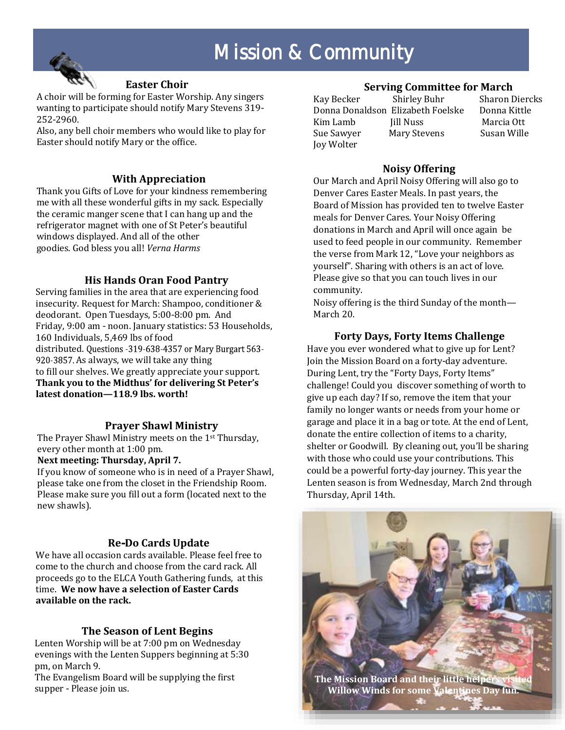# Mission & Community



### **Easter Choir**

A choir will be forming for Easter Worship. Any singers wanting to participate should notify Mary Stevens 319- 252-2960.

Also, any bell choir members who would like to play for Easter should notify Mary or the office.

### **With Appreciation**

Thank you Gifts of Love for your kindness remembering me with all these wonderful gifts in my sack. Especially the ceramic manger scene that I can hang up and the refrigerator magnet with one of St Peter's beautiful windows displayed. And all of the other goodies. God bless you all! *Verna Harms* 

### **His Hands Oran Food Pantry**

Serving families in the area that are experiencing food insecurity. Request for March: Shampoo, conditioner & deodorant. Open Tuesdays, 5:00-8:00 pm. And Friday, 9:00 am - noon. January statistics: 53 Households, 160 Individuals, 5,469 lbs of food distributed. Questions - 319-638-4357 or Mary Burgart 563-920-3857. As always, we will take any thing to fill our shelves. We greatly appreciate your support. **Thank you to the Midthus' for delivering St Peter's latest donation—118.9 lbs. worth!**

### **Prayer Shawl Ministry**

The Prayer Shawl Ministry meets on the 1st Thursday, every other month at 1:00 pm.

### **Next meeting: Thursday, April 7.**

If you know of someone who is in need of a Prayer Shawl, please take one from the closet in the Friendship Room. Please make sure you fill out a form (located next to the new shawls).

### **Re-Do Cards Update**

We have all occasion cards available. Please feel free to come to the church and choose from the card rack. All proceeds go to the ELCA Youth Gathering funds, at this time. **We now have a selection of Easter Cards available on the rack.** 

### **The Season of Lent Begins**

Lenten Worship will be at 7:00 pm on Wednesday evenings with the Lenten Suppers beginning at 5:30 pm, on March 9.

The Evangelism Board will be supplying the first supper - Please join us.

### **Serving Committee for March**

Kay Becker Shirley Buhr Sharon Diercks Donna Donaldson Elizabeth Foelske Donna Kittle Kim Lamb Jill Nuss Marcia Ott Sue Sawyer Mary Stevens Susan Wille Joy Wolter

### **Noisy Offering**

Our March and April Noisy Offering will also go to Denver Cares Easter Meals. In past years, the Board of Mission has provided ten to twelve Easter meals for Denver Cares. Your Noisy Offering donations in March and April will once again be used to feed people in our community. Remember the verse from Mark 12, "Love your neighbors as yourself". Sharing with others is an act of love. Please give so that you can touch lives in our community.

Noisy offering is the third Sunday of the month— March 20.

### **Forty Days, Forty Items Challenge**

Have you ever wondered what to give up for Lent? Join the Mission Board on a forty-day adventure. During Lent, try the "Forty Days, Forty Items" challenge! Could you discover something of worth to give up each day? If so, remove the item that your family no longer wants or needs from your home or garage and place it in a bag or tote. At the end of Lent, donate the entire collection of items to a charity, shelter or Goodwill. By cleaning out, you'll be sharing with those who could use your contributions. This could be a powerful forty-day journey. This year the Lenten season is from Wednesday, March 2nd through Thursday, April 14th.

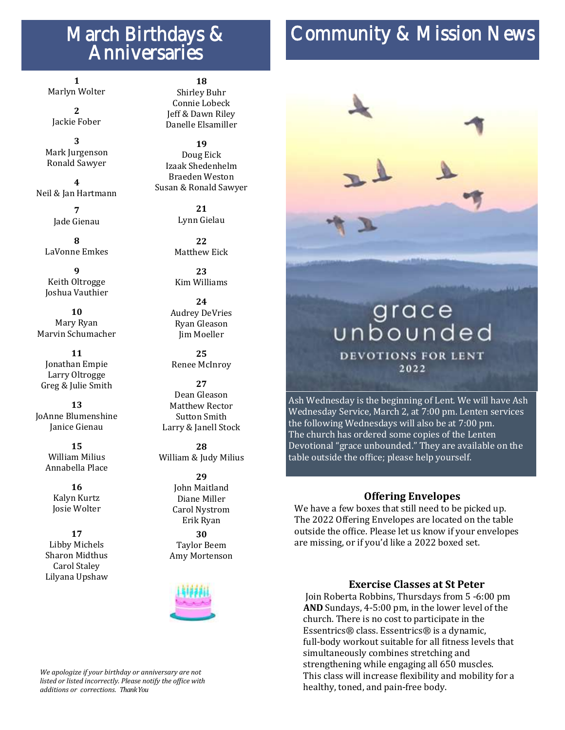## March Birthdays & Anniversaries

# Community & Mission News

**1** Marlyn Wolter

**2** Jackie Fober

**3** Mark Jurgenson Ronald Sawyer

**4** Neil & Jan Hartmann

> **7** Jade Gienau

**8** LaVonne Emkes

**9** Keith Oltrogge Joshua Vauthier

**10** Mary Ryan Marvin Schumacher

**11** Jonathan Empie Larry Oltrogge Greg & Julie Smith

**13** JoAnne Blumenshine Janice Gienau

> **15** William Milius Annabella Place

> > **16** Kalyn Kurtz Josie Wolter

**17** Libby Michels Sharon Midthus Carol Staley Lilyana Upshaw

### **18**

Shirley Buhr Connie Lobeck Jeff & Dawn Riley Danelle Elsamiller

**19** Doug Eick Izaak Shedenhelm Braeden Weston Susan & Ronald Sawyer

> **21** Lynn Gielau

**22**  Matthew Eick

**23** Kim Williams

**24** Audrey DeVries Ryan Gleason Jim Moeller

**25** Renee McInroy

**27** Dean Gleason Matthew Rector Sutton Smith Larry & Janell Stock

**28** William & Judy Milius

> **29** John Maitland Diane Miller Carol Nystrom Erik Ryan

**30** Taylor Beem Amy Mortenson



#### *We apologize if your birthday or anniversary are not listed or listed incorrectly. Please notify the office with additions or corrections. Thank You*

## grace unbounded **DEVOTIONS FOR LENT** 2022

Ash Wednesday is the beginning of Lent. We will have Ash Wednesday Service, March 2, at 7:00 pm. Lenten services the following Wednesdays will also be at 7:00 pm. The church has ordered some copies of the Lenten Devotional "grace unbounded." They are available on the table outside the office; please help yourself.

### **Offering Envelopes**

We have a few boxes that still need to be picked up. The 2022 Offering Envelopes are located on the table outside the office. Please let us know if your envelopes are missing, or if you'd like a 2022 boxed set.

### **Exercise Classes at St Peter**

Join Roberta Robbins, Thursdays from 5 -6:00 pm **AND** Sundays, 4-5:00 pm, in the lower level of the church. There is no cost to participate in the Essentrics® class. Essentrics® is a dynamic, full-body workout suitable for all fitness levels that simultaneously combines stretching and strengthening while engaging all 650 muscles. This class will increase flexibility and mobility for a healthy, toned, and pain-free body.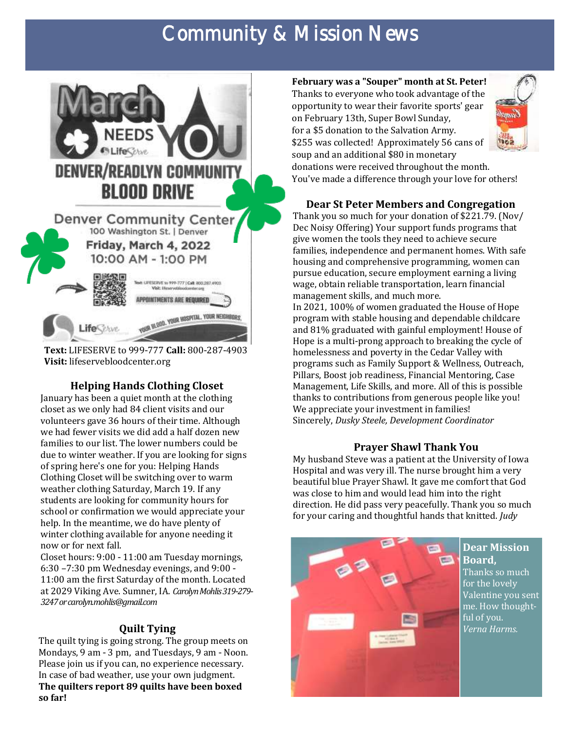# Community & Mission News



**Text:** LIFESERVE to 999-777 **Call:** 800-287-4903 **Visit:** lifeservebloodcenter.org

### **Helping Hands Clothing Closet**

January has been a quiet month at the clothing closet as we only had 84 client visits and our volunteers gave 36 hours of their time. Although we had fewer visits we did add a half dozen new families to our list. The lower numbers could be due to winter weather. If you are looking for signs of spring here's one for you: Helping Hands Clothing Closet will be switching over to warm weather clothing Saturday, March 19. If any students are looking for community hours for school or confirmation we would appreciate your help. In the meantime, we do have plenty of winter clothing available for anyone needing it now or for next fall.

Closet hours: 9:00 - 11:00 am Tuesday mornings, 6:30 –7:30 pm Wednesday evenings, and 9:00 - 11:00 am the first Saturday of the month. Located at 2029 Viking Ave. Sumner, IA. *Carolyn Mohlis 319-279- 3247 or carolyn.mohlis@gmail.com* 

### **Quilt Tying**

The quilt tying is going strong. The group meets on Mondays, 9 am - 3 pm, and Tuesdays, 9 am - Noon. Please join us if you can, no experience necessary. In case of bad weather, use your own judgment. **The quilters report 89 quilts have been boxed so far!** 

**February was a "Souper" month at St. Peter!**  Thanks to everyone who took advantage of the opportunity to wear their favorite sports' gear on February 13th, Super Bowl Sunday, for a \$5 donation to the Salvation Army. \$255 was collected! Approximately 56 cans of soup and an additional \$80 in monetary donations were received throughout the month. You've made a difference through your love for others!



**Dear St Peter Members and Congregation**

Thank you so much for your donation of \$221.79. (Nov/ Dec Noisy Offering) Your support funds programs that give women the tools they need to achieve secure families, independence and permanent homes. With safe housing and comprehensive programming, women can pursue education, secure employment earning a living wage, obtain reliable transportation, learn financial management skills, and much more.

In 2021, 100% of women graduated the House of Hope program with stable housing and dependable childcare and 81% graduated with gainful employment! House of Hope is a multi-prong approach to breaking the cycle of homelessness and poverty in the Cedar Valley with programs such as Family Support & Wellness, Outreach, Pillars, Boost job readiness, Financial Mentoring, Case Management, Life Skills, and more. All of this is possible thanks to contributions from generous people like you! We appreciate your investment in families! Sincerely, *Dusky Steele, Development Coordinator* 

### **Prayer Shawl Thank You**

My husband Steve was a patient at the University of Iowa Hospital and was very ill. The nurse brought him a very beautiful blue Prayer Shawl. It gave me comfort that God was close to him and would lead him into the right direction. He did pass very peacefully. Thank you so much for your caring and thoughtful hands that knitted. *Judy*

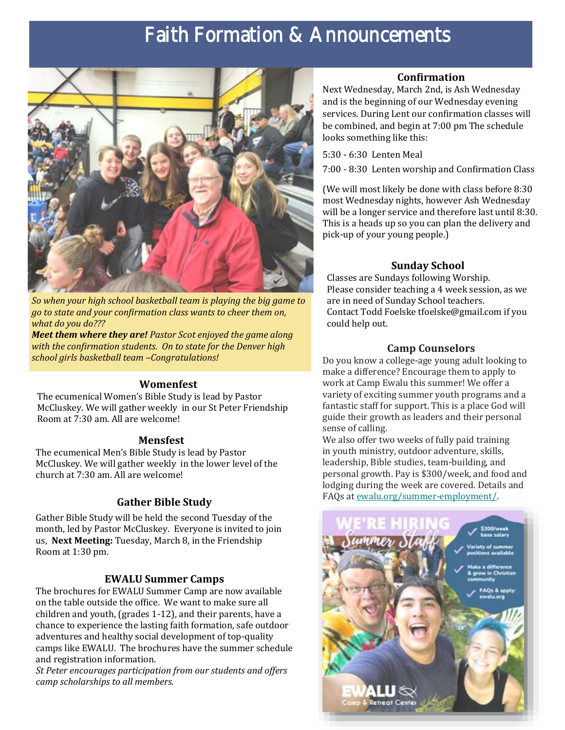# Faith Formation & Announcements



*So when your high school basketball team is playing the big game to go to state and your confirmation class wants to cheer them on, what do you do???*

*Meet them where they are! Pastor Scot enjoyed the game along with the confirmation students. On to state for the Denver high school girls basketball team –Congratulations!* 

### **Womenfest**

The ecumenical Women's Bible Study is lead by Pastor McCluskey. We will gather weekly in our St Peter Friendship Room at 7:30 am. All are welcome!

### **Mensfest**

The ecumenical Men's Bible Study is lead by Pastor McCluskey. We will gather weekly in the lower level of the church at 7:30 am. All are welcome!

### **Gather Bible Study**

Gather Bible Study will be held the second Tuesday of the month, led by Pastor McCluskey. Everyone is invited to join us, **Next Meeting:** Tuesday, March 8, in the Friendship Room at 1:30 pm.

### **EWALU Summer Camps**

The brochures for EWALU Summer Camp are now available on the table outside the office. We want to make sure all children and youth, (grades 1-12), and their parents, have a chance to experience the lasting faith formation, safe outdoor adventures and healthy social development of top-quality camps like EWALU. The brochures have the summer schedule and registration information.

*St Peter encourages participation from our students and offers camp scholarships to all members.* 

### **Confirmation**

Next Wednesday, March 2nd, is Ash Wednesday and is the beginning of our Wednesday evening services. During Lent our confirmation classes will be combined, and begin at 7:00 pm The schedule looks something like this:

5:30 - 6:30 Lenten Meal

7:00 - 8:30 Lenten worship and Confirmation Class

(We will most likely be done with class before 8:30 most Wednesday nights, however Ash Wednesday will be a longer service and therefore last until 8:30. This is a heads up so you can plan the delivery and pick-up of your young people.)

### **Sunday School**

Classes are Sundays following Worship. Please consider teaching a 4 week session, as we are in need of Sunday School teachers. Contact Todd Foelske tfoelske@gmail.com if you could help out.

### **Camp Counselors**

Do you know a college-age young adult looking to make a difference? Encourage them to apply to work at Camp Ewalu this summer! We offer a variety of exciting summer youth programs and a fantastic staff for support. This is a place God will guide their growth as leaders and their personal sense of calling.

We also offer two weeks of fully paid training in youth ministry, outdoor adventure, skills, leadership, Bible studies, team-building, and personal growth. Pay is \$300/week, and food and lodging during the week are covered. Details and FAQs at [ewalu.org/summer-employment/.](https://ewalu.us8.list-manage.com/track/click?u=60bc355a9f11711d14aeebd9f&id=f3a22fe722&e=e64645987b)

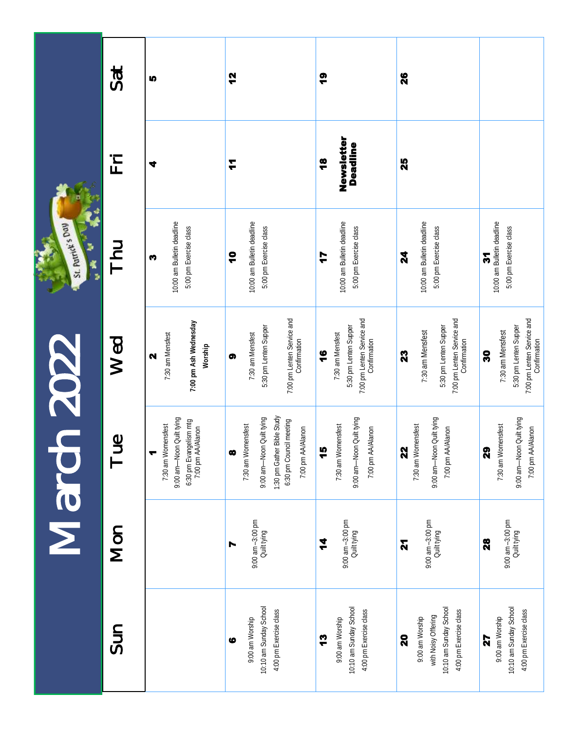|                             | Sat        | IQ.                                                                                                                   | 12                                                                                                                                                    | <u>စု</u>                                                                                                | 26                                                                                               |                                                                                              |
|-----------------------------|------------|-----------------------------------------------------------------------------------------------------------------------|-------------------------------------------------------------------------------------------------------------------------------------------------------|----------------------------------------------------------------------------------------------------------|--------------------------------------------------------------------------------------------------|----------------------------------------------------------------------------------------------|
|                             | 三上         | ₹                                                                                                                     | T                                                                                                                                                     | Newsletter<br><b>Deadline</b><br>$\frac{8}{1}$                                                           | 25                                                                                               |                                                                                              |
| St. Patrick's Day<br>K<br>B | <b>HU</b>  | 10:00 am Bulletin deadline<br>5:00 pm Exercise class<br>m                                                             | 10:00 am Bulletin deadline<br>5:00 pm Exercise class<br>ę                                                                                             | 10:00 am Bulletin deadline<br>5:00 pm Exercise class<br>7                                                | 10:00 am Bulletin deadline<br>5:00 pm Exercise class<br>24                                       | 10:00 am Bulletin deadline<br>5:00 pm Exercise class<br>5                                    |
| <b>2022</b><br>March        | Wed        | 7:00 pm Ash Wednesday<br>7:30 am Mensfest<br>Worship<br>$\mathbf{\Omega}$                                             | 7:00 pm Lenten Service and<br>5:30 pm Lenten Supper<br>7:30 am Mensfest<br>Confirmation<br>ශ                                                          | 7:00 pm Lenten Service and<br>5:30 pm Lenten Supper<br>7:30 am Mensfest<br>Confirmation<br>$\frac{6}{1}$ | 7:00 pm Lenten Service and<br>5:30 pm Lenten Supper<br>7:30 am Mensfest<br>Confirmation<br>23    | 7:00 pm Lenten Service and<br>5:30 pm Lenten Supper<br>7:30 am Mensfest<br>Confirmation<br>႙ |
|                             | en⊥        | 9:00 am-Noon Quilt tying<br>6:30 pm Evangelism mtg<br>7:00 pm AA/Alanon<br>7:30 am Womensfest<br>$\blacktriangledown$ | 1:30 pm Gather Bible Study<br>9:00 am-Noon Quilt tying<br>6:30 pm Council meeting<br>7:30 am Womensfest<br>7:00 pm AA/Alanon<br>$\boldsymbol{\infty}$ | 9:00 am-Noon Quilt tying<br>7:30 am Womensfest<br>7:00 pm AA/Alanon<br>ä                                 | 9:00 am-Noon Quilt tying<br>7:30 am Womensfest<br>7:00 pm AA/Alanon<br><b>S</b>                  | 9:00 am-Noon Quilt tying<br>7:30 am Womensfest<br>7:00 pm AA/Alanon<br>ସ                     |
|                             | <b>Mon</b> |                                                                                                                       | 9:00 am -3:00 pm<br>Quilt tying<br>r                                                                                                                  | 9:00 am -3:00 pm<br>Quilt tying<br>4                                                                     | 9:00 am -3:00 pm<br>Quilt tying<br>N                                                             | 9:00 am -3:00 pm<br>Quilt tying<br>28                                                        |
|                             | Sun        |                                                                                                                       | 10:10 am Sunday School<br>4:00 pm Exercise class<br>9:00 am Worship<br>$\bullet$                                                                      | 10:10 am Sunday School<br>4:00 pm Exercise class<br>9:00 am Worship<br>ဗူ                                | 10:10 am Sunday School<br>4:00 pm Exercise class<br>with Noisy Offering<br>9:00 am Worship<br>20 | 10:10 am Sunday School<br>4:00 pm Exercise class<br>9:00 am Worship<br>27                    |